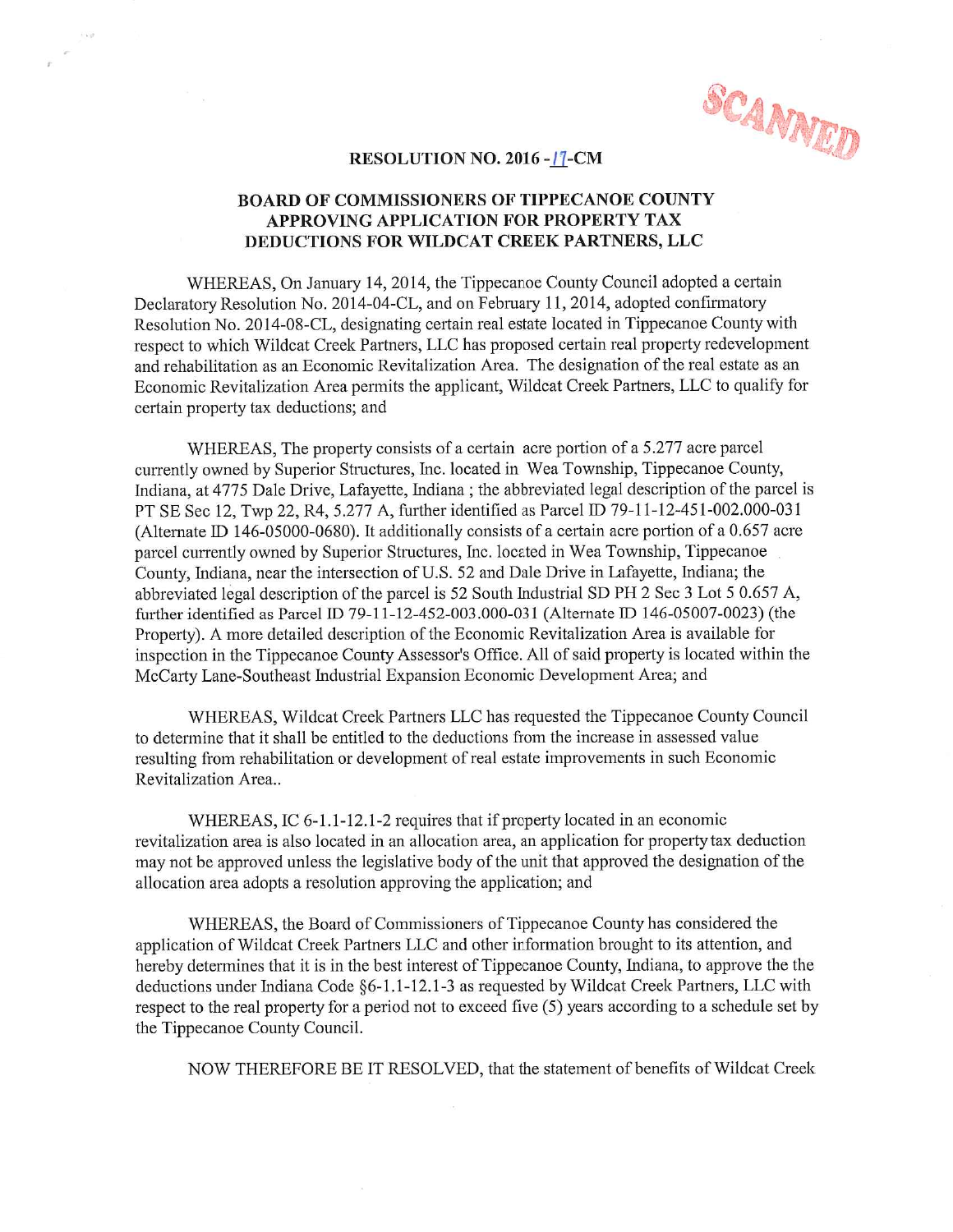## RESOLUTION NO. 2016 -  $17$ -CM

## RESOLUTION NO. 2016 - IZ-CM<br>BOARD OF COMMISSIONERS OF TIPPECANOE COUNTY RESOLUTION NO. 2016 -<u>17</u>-CM<br>ARD OF COMMISSIONERS OF TIPPECANOE COUR<br>APPROVING APPLICATION FOR PROPERTY TAX RESOLUTION NO. 2016 - II-CM<br>BOARD OF COMMISSIONERS OF TIPPECANOE COUNTY<br>APPROVING APPLICATION FOR PROPERTY TAX<br>DEDUCTIONS FOR WILDCAT CREEK PARTNERS, LLC APPROVING APPLICATION FOR PROPERTY TAX<br>DEDUCTIONS FOR WILDCAT CREEK PARTNERS, LLC<br>WHEREAS, On January 14, 2014, the Tippecanoe County Council adopted a certain

DEDUCTIONS FOR WILDCAT CREEK PARTNERS, LLC<br>WHEREAS, On January 14, 2014, the Tippecanoe County Council adopted a certa<br>Declaratory Resolution No. 2014-04-CL, and on February 11, 2014, adopted confirmatory WHEREAS, On January 14, 2014, the Tippecanoe County Council adopted a certain Declaratory Resolution No. 2014-04-CL, and on February 11, 2014, adopted confirmatory Resolution No. 2014-08-CL, designating certain real estate Declaratory Resolution No. 2014-04-CL, and on February 11, 2014, adopted confirmatory<br>Resolution No. 2014-08-CL, designating certain real estate located in Tippecanoe County with<br>respect to which Wildcat Creek Partners, LL respect to which Wildcat Creek Partners, LLC has proposed certain real property redevelopment<br>and rehabilitation as an Economic Revitalization Area. The designation of the real estate as an<br>Economic Revitalization Area per

WHEREAS, The property consists of a certain acre portion of a 5.277 acre parcel currently owned by Superior Structures, Inc. located in Wea Township, Tippecanoe County, WHEREAS, The property consists of a certain acre portion of a 5.277 acre parcel<br>currently owned by Superior Structures, Inc. located in Wea Township, Tippecanoe County,<br>Indiana, at 4775 Dale Drive, Lafayette, Indiana ; the WHEREAS, The property consists of a certain acre portion of a 5.277 acre parcel<br>currently owned by Superior Structures, Inc. located in Wea Township, Tippecanoe County,<br>Indiana, at 4775 Dale Drive, Lafayette, Indiana ; the Indiana, at 4775 Dale Drive, Lafayette, Indiana ; the abbreviated legal description of the pare<br>PT SE Sec 12, Twp 22, R4, 5.277 A, further identified as Parcel ID 79-11-12-451-002.000-0<br>(Alternate ID 146-05000-0680). It ad PT SE Sec 12, Twp 22, R4, 5.277 A, further identified as Parcel ID 79-11-12-451-002.000-031<br>(Alternate ID 146-05000-0680). It additionally consists of a certain acre portion of a 0.657 acre<br>parcel currently owned by Superi parcel currently owned by Superior Structures, Inc. located in Wea Township, Tippecanoe<br>County, Indiana, near the intersection of U.S. 52 and Dale Drive in Lafayette, Indiana; the<br>abbreviated legal description of the parce Property). A more detailed description of the Economic Revitalization Area is available for Property). A more detailed description of the Economic Revitalization Area is available for Property). A more detailed description abbreviated legal description of the parcel is 52 South Industrial SD PH 2 Sec 3 Lot 5 0.657 A,<br>further identified as Parcel ID 79-11-12-452-003.000-031 (Alternate ID 146-05007-0023) (the<br>Property). A more detailed descrip further identified as Parcel ID 79-11-12-452-003.000-031 (Alternate ID 146-0500<br>Property). A more detailed description of the Economic Revitalization Area is ava<br>inspection in the Tippecanoe County Assessor's Office. All o Property). A more detailed description of the Economic Revitalization Area is available for<br>inspection in the Tippecanoe County Assessor's Office. All of said property is located within the<br>McCarty Lane-Southeast Industria

respection in the Tippecanoe County Assessor's Office. An or state property is focated while<br>McCarty Lane-Southeast Industrial Expansion Economic Development Area; and<br>WHEREAS, Wildcat Creek Partners LLC has requested the to determine that it shall be entitled to the deductions from the increase in assessed value resulting from rehabilitation or development of real estate improvements in such Economic Revitalization Area..

WHEREAS, IC 6-1.1-12.1-2 requires that if property located in an economic revitalization area is also located in an allocation area, an application for property tax deduction WHEREAS, IC 6-1.1-12.1-2 requires that if property located in an economic<br>revitalization area is also located in an allocation area, an application for property tax deduction<br>may not be approved unless the legislative body WHEREAS, IC 6-1.1-12.1-2 requires that if property loca<br>revitalization area is also located in an allocation area, an applica<br>may not be approved unless the legislative body of the unit that a<br>allocation area adopts a reso allocation area adopts a resolution approving the application; and<br>WHEREAS, the Board of Commissioners of Tippecanoe County has considered the

application of Wildcat Creek Partners LLC and other information brought to its attention, and WHEREAS, the Board of Commissioners of Tippecanoe County has considered the<br>application of Wildcat Creek Partners LLC and other information brought to its attention, and<br>hereby determines that it is in the best interest of application of Wildcat Creek Partners LLC and other information brought to its attention, and<br>hereby determines that it is in the best interest of Tippecanoe County, Indiana, to approve the the<br>deductions under Indiana Cod deductions under Indiana Code  $\S6-1.1-12.1-3$  as requested by Wildcat Creek Partners, LLC with respect to the real property for a period not to exceed five (5) years according to a schedule set by the Tippecanoe County Co determines that it is in the best interest of Tippecanoe County, Indiana, to approve the the lons under Indiana Code §6-1.1-12.1-3 as requested by Wildcat Creek Partners, LLC with to the real property for a period not to e